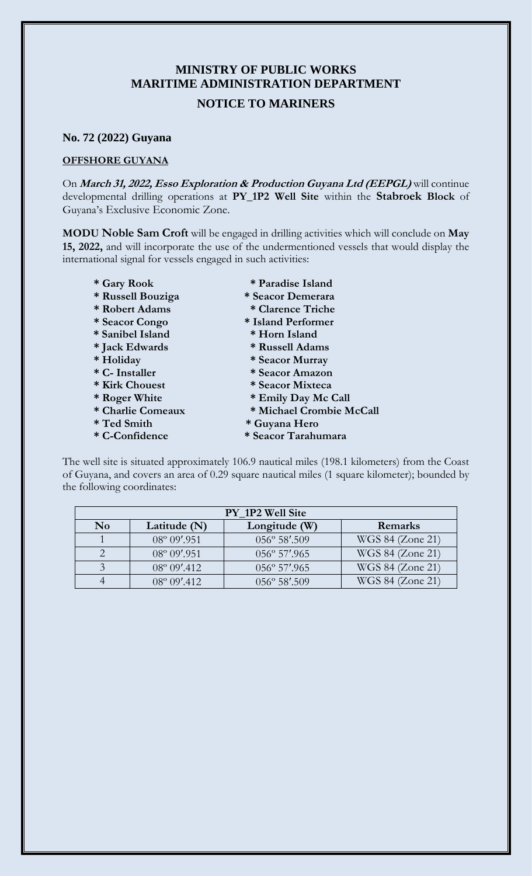## **MINISTRY OF PUBLIC WORKS MARITIME ADMINISTRATION DEPARTMENT**

## **NOTICE TO MARINERS**

## **No. 72 (2022) Guyana**

## **OFFSHORE GUYANA**

On **March 31, 2022, Esso Exploration & Production Guyana Ltd (EEPGL)** will continue developmental drilling operations at **PY\_1P2 Well Site** within the **Stabroek Block** of Guyana's Exclusive Economic Zone.

**MODU Noble Sam Croft** will be engaged in drilling activities which will conclude on **May 15, 2022,** and will incorporate the use of the undermentioned vessels that would display the international signal for vessels engaged in such activities:

- 
- **\* Russell Bouziga \* Seacor Demerara**
- 
- 
- **\* Sanibel Island \* Horn Island**
- **\* Jack Edwards \* Russell Adams**
- 
- 
- 
- 
- 
- 
- 
- **\* Gary Rook \* Paradise Island**
	-
- **\* Robert Adams \* Clarence Triche**
- **\* Seacor Congo \* Island Performer** 
	-
	-
- **\* Holiday \* Seacor Murray**
- **\* C- Installer \* Seacor Amazon**
- **\* Kirk Chouest \* Seacor Mixteca**
- **\* Roger White \* Emily Day Mc Call**
- **\* Charlie Comeaux \* Michael Crombie McCall**
- **\* Ted Smith \* Guyana Hero**
- **\* C-Confidence \* Seacor Tarahumara**

The well site is situated approximately 106.9 nautical miles (198.1 kilometers) from the Coast of Guyana, and covers an area of 0.29 square nautical miles (1 square kilometer); bounded by the following coordinates:

| PY 1P2 Well Site |                       |                        |                  |
|------------------|-----------------------|------------------------|------------------|
| N <sub>0</sub>   | Latitude (N)          | Longitude (W)          | Remarks          |
|                  | 08° 09'.951           | 056° 58'.509           | WGS 84 (Zone 21) |
|                  | $08^{\circ} 09'$ .951 | $056^{\circ} 57'$ .965 | WGS 84 (Zone 21) |
| $\mathbf{z}$     | $08^{\circ} 09'$ .412 | $056^{\circ} 57'$ .965 | WGS 84 (Zone 21) |
|                  | $08^{\circ} 09'$ .412 | 056° 58'.509           | WGS 84 (Zone 21) |